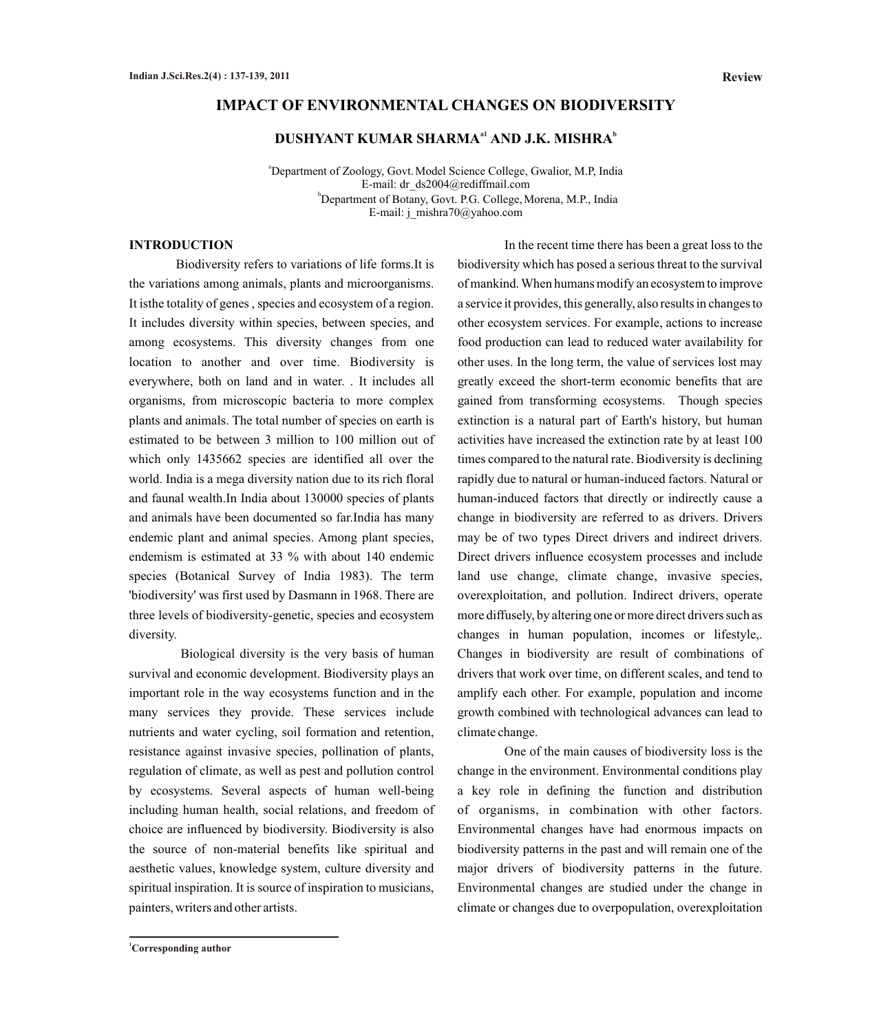### **IMPACT OF ENVIRONMENTAL CHANGES ON BIODIVERSITY**

## $\mathbf{DUSHYANT\ KUMAR\ SHARMA}^{a1}\ \mathbf{AND\ J.K.\ MISHRA}^{b1}$

<sup>a</sup>Department of Zoology, Govt. Model Science College, Gwalior, M.P, India E-mail: dr\_ds2004@rediffmail.com <sup>b</sup>Department of Botany, Govt. P.G. College, Morena, M.P., India E-mail: j\_mishra70@yahoo.com

### **INTRODUCTION**

Biodiversity refers to variations of life forms.It is the variations among animals, plants and microorganisms. It isthe totality of genes , species and ecosystem of a region. It includes diversity within species, between species, and among ecosystems. This diversity changes from one location to another and over time. Biodiversity is everywhere, both on land and in water. . It includes all organisms, from microscopic bacteria to more complex plants and animals. The total number of species on earth is estimated to be between 3 million to 100 million out of which only 1435662 species are identified all over the world. India is a mega diversity nation due to its rich floral and faunal wealth.In India about 130000 species of plants and animals have been documented so far.India has many endemic plant and animal species. Among plant species, endemism is estimated at 33 % with about 140 endemic species (Botanical Survey of India 1983). The term 'biodiversity' was first used by Dasmann in 1968. There are three levels of biodiversity-genetic, species and ecosystem diversity.

Biological diversity is the very basis of human survival and economic development. Biodiversity plays an important role in the way ecosystems function and in the many services they provide. These services include nutrients and water cycling, soil formation and retention, resistance against invasive species, pollination of plants, regulation of climate, as well as pest and pollution control by ecosystems. Several aspects of human well-being including human health, social relations, and freedom of choice are influenced by biodiversity. Biodiversity is also the source of non-material benefits like spiritual and aesthetic values, knowledge system, culture diversity and spiritual inspiration. It is source of inspiration to musicians, painters, writers and other artists.

In the recent time there has been a great loss to the biodiversity which has posed a serious threat to the survival of mankind. When humans modify an ecosystem to improve a service it provides, this generally, also results in changes to other ecosystem services. For example, actions to increase food production can lead to reduced water availability for other uses. In the long term, the value of services lost may greatly exceed the short-term economic benefits that are gained from transforming ecosystems. Though species extinction is a natural part of Earth's history, but human activities have increased the extinction rate by at least 100 times compared to the natural rate. Biodiversity is declining rapidly due to natural or human-induced factors. Natural or human-induced factors that directly or indirectly cause a change in biodiversity are referred to as drivers. Drivers may be of two types Direct drivers and indirect drivers. Direct drivers influence ecosystem processes and include land use change, climate change, invasive species, overexploitation, and pollution. Indirect drivers, operate more diffusely, by altering one or more direct drivers such as changes in human population, incomes or lifestyle,. Changes in biodiversity are result of combinations of drivers that work over time, on different scales, and tend to amplify each other. For example, population and income growth combined with technological advances can lead to climate change.

One of the main causes of biodiversity loss is the change in the environment. Environmental conditions play a key role in defining the function and distribution of organisms, in combination with other factors. Environmental changes have had enormous impacts on biodiversity patterns in the past and will remain one of the major drivers of biodiversity patterns in the future. Environmental changes are studied under the change in climate or changes due to overpopulation, overexploitation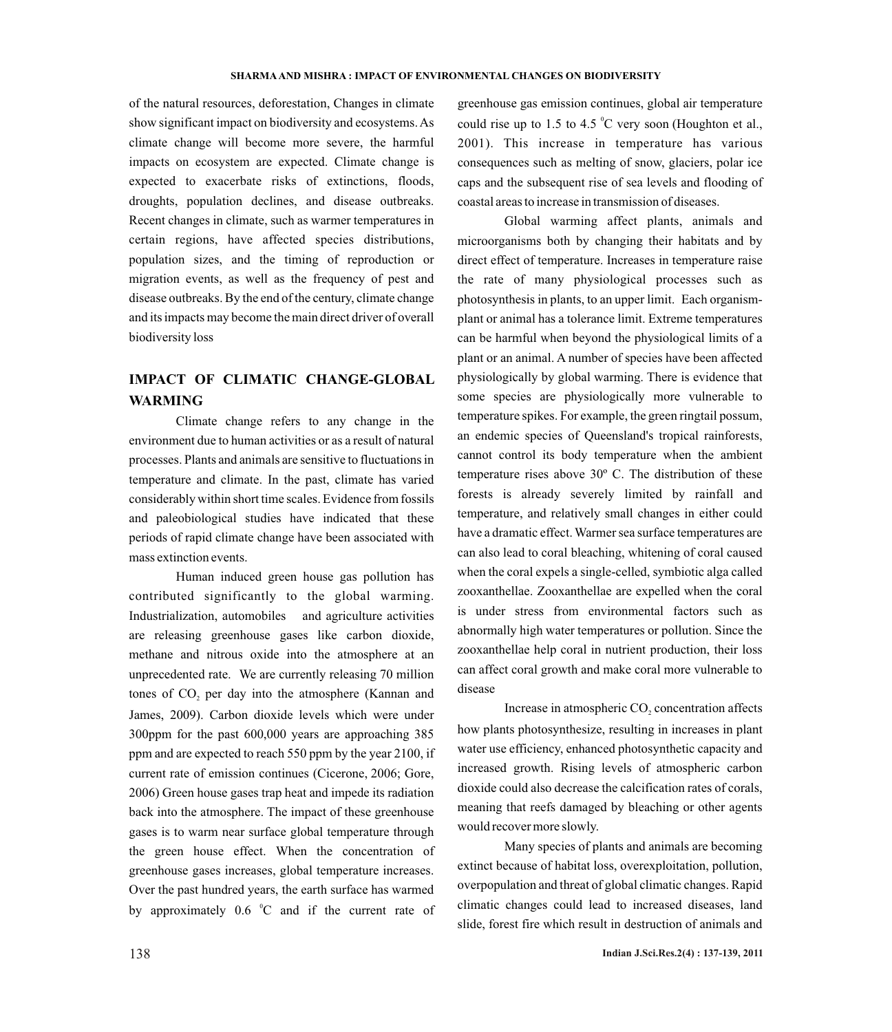of the natural resources, deforestation, Changes in climate show significant impact on biodiversity and ecosystems. As climate change will become more severe, the harmful impacts on ecosystem are expected. Climate change is expected to exacerbate risks of extinctions, floods, droughts, population declines, and disease outbreaks. Recent changes in climate, such as warmer temperatures in certain regions, have affected species distributions, population sizes, and the timing of reproduction or migration events, as well as the frequency of pest and disease outbreaks. By the end of the century, climate change and its impacts may become the main direct driver of overall biodiversity loss

# **IMPACT OF CLIMATIC CHANGE-GLOBAL WARMING**

Climate change refers to any change in the environment due to human activities or as a result of natural processes. Plants and animals are sensitive to fluctuations in temperature and climate. In the past, climate has varied considerably within short time scales. Evidence from fossils and paleobiological studies have indicated that these periods of rapid climate change have been associated with mass extinction events.

Human induced green house gas pollution has contributed significantly to the global warming. Industrialization, automobiles and agriculture activities are releasing greenhouse gases like carbon dioxide, methane and nitrous oxide into the atmosphere at an unprecedented rate. We are currently releasing 70 million tones of CO<sub>2</sub> per day into the atmosphere (Kannan and James, 2009). Carbon dioxide levels which were under 300ppm for the past 600,000 years are approaching 385 ppm and are expected to reach 550 ppm by the year 2100, if current rate of emission continues (Cicerone, 2006; Gore, 2006) Green house gases trap heat and impede its radiation back into the atmosphere. The impact of these greenhouse gases is to warm near surface global temperature through the green house effect. When the concentration of greenhouse gases increases, global temperature increases. Over the past hundred years, the earth surface has warmed by approximately  $0.6 \degree$ C and if the current rate of greenhouse gas emission continues, global air temperature could rise up to 1.5 to 4.5  $\mathrm{C}$  very soon (Houghton et al., 2001). This increase in temperature has various consequences such as melting of snow, glaciers, polar ice caps and the subsequent rise of sea levels and flooding of coastal areas to increase in transmission of diseases.

Global warming affect plants, animals and microorganisms both by changing their habitats and by direct effect of temperature. Increases in temperature raise the rate of many physiological processes such as photosynthesis in plants, to an upper limit. Each organismplant or animal has a tolerance limit. Extreme temperatures can be harmful when beyond the physiological limits of a plant or an animal. A number of species have been affected physiologically by global warming. There is evidence that some species are physiologically more vulnerable to temperature spikes. For example, the green ringtail possum, an endemic species of Queensland's tropical rainforests, cannot control its body temperature when the ambient temperature rises above 30º C. The distribution of these forests is already severely limited by rainfall and temperature, and relatively small changes in either could have a dramatic effect. Warmer sea surface temperatures are can also lead to coral bleaching, whitening of coral caused when the coral expels a single-celled, symbiotic alga called zooxanthellae. Zooxanthellae are expelled when the coral is under stress from environmental factors such as abnormally high water temperatures or pollution. Since the zooxanthellae help coral in nutrient production, their loss can affect coral growth and make coral more vulnerable to disease

Increase in atmospheric CO<sub>2</sub> concentration affects how plants photosynthesize, resulting in increases in plant water use efficiency, enhanced photosynthetic capacity and increased growth. Rising levels of atmospheric carbon dioxide could also decrease the calcification rates of corals, meaning that reefs damaged by bleaching or other agents would recover more slowly.

Many species of plants and animals are becoming extinct because of habitat loss, overexploitation, pollution, overpopulation and threat of global climatic changes. Rapid climatic changes could lead to increased diseases, land slide, forest fire which result in destruction of animals and